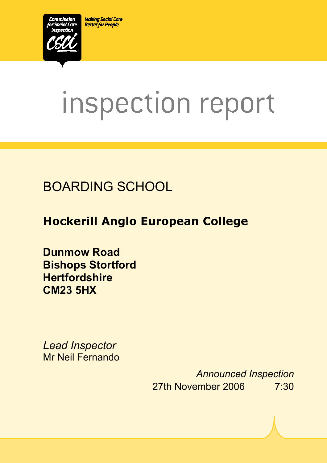**Making Social Care Better for People** 



# inspection report

# BOARDING SCHOOL

# **Hockerill Anglo European College**

**Dunmow Road Bishops Stortford Hertfordshire CM23 5HX** 

*Lead Inspector*  Mr Neil Fernando

ī

*Announced Inspection* 27th November 2006 7:30

Version 5.2 Page 1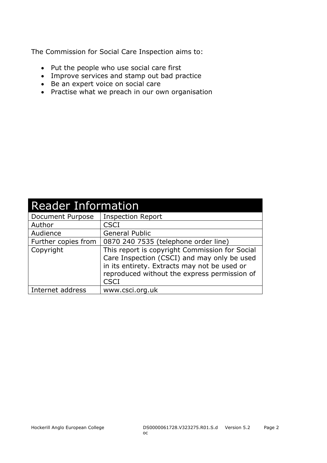The Commission for Social Care Inspection aims to:

- Put the people who use social care first
- Improve services and stamp out bad practice
- Be an expert voice on social care
- Practise what we preach in our own organisation

| <b>Reader Information</b> |                                                                                                                                                                                                              |  |  |
|---------------------------|--------------------------------------------------------------------------------------------------------------------------------------------------------------------------------------------------------------|--|--|
| Document Purpose          | <b>Inspection Report</b>                                                                                                                                                                                     |  |  |
| Author                    | CSCI                                                                                                                                                                                                         |  |  |
| Audience                  | General Public                                                                                                                                                                                               |  |  |
| Further copies from       | 0870 240 7535 (telephone order line)                                                                                                                                                                         |  |  |
| Copyright                 | This report is copyright Commission for Social<br>Care Inspection (CSCI) and may only be used<br>in its entirety. Extracts may not be used or<br>reproduced without the express permission of<br><b>CSCI</b> |  |  |
| Internet address          | www.csci.org.uk                                                                                                                                                                                              |  |  |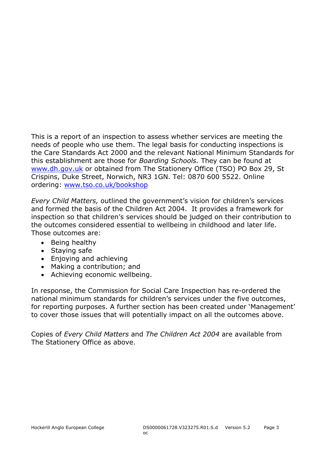This is a report of an inspection to assess whether services are meeting the needs of people who use them. The legal basis for conducting inspections is the Care Standards Act 2000 and the relevant National Minimum Standards for this establishment are those for *Boarding Schools.* They can be found at www.dh.gov.uk or obtained from The Stationery Office (TSO) PO Box 29, St Crispins, Duke Street, Norwich, NR3 1GN. Tel: 0870 600 5522. Online ordering: www.tso.co.uk/bookshop

*Every Child Matters,* outlined the government's vision for children's services and formed the basis of the Children Act 2004. It provides a framework for inspection so that children's services should be judged on their contribution to the outcomes considered essential to wellbeing in childhood and later life. Those outcomes are:

- Being healthy
- Staying safe
- Enjoying and achieving
- Making a contribution; and
- Achieving economic wellbeing.

In response, the Commission for Social Care Inspection has re-ordered the national minimum standards for children's services under the five outcomes, for reporting purposes. A further section has been created under 'Management' to cover those issues that will potentially impact on all the outcomes above.

Copies of *Every Child Matters* and *The Children Act 2004* are available from The Stationery Office as above.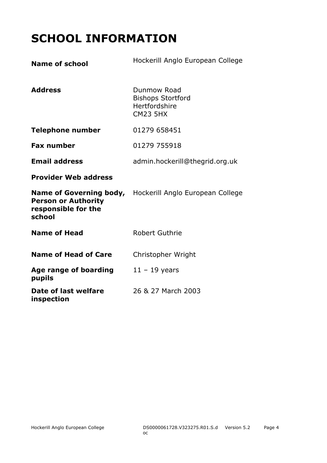# **SCHOOL INFORMATION**

| <b>Name of school</b>                                                                         | Hockerill Anglo European College                                            |
|-----------------------------------------------------------------------------------------------|-----------------------------------------------------------------------------|
| <b>Address</b>                                                                                | Dunmow Road<br><b>Bishops Stortford</b><br>Hertfordshire<br><b>CM23 5HX</b> |
| <b>Telephone number</b>                                                                       | 01279 658451                                                                |
| <b>Fax number</b>                                                                             | 01279 755918                                                                |
| <b>Email address</b>                                                                          | admin.hockerill@thegrid.org.uk                                              |
| <b>Provider Web address</b>                                                                   |                                                                             |
| <b>Name of Governing body,</b><br><b>Person or Authority</b><br>responsible for the<br>school | Hockerill Anglo European College                                            |
| <b>Name of Head</b>                                                                           | <b>Robert Guthrie</b>                                                       |
| <b>Name of Head of Care</b>                                                                   | Christopher Wright                                                          |
| Age range of boarding<br>pupils                                                               | $11 - 19$ years                                                             |
| Date of last welfare<br>inspection                                                            | 26 & 27 March 2003                                                          |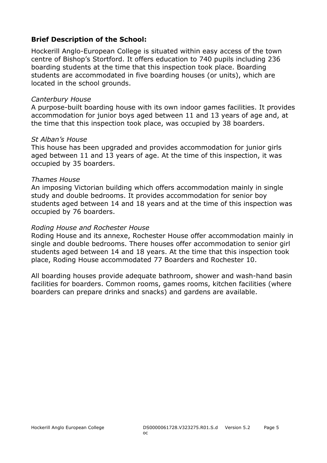#### **Brief Description of the School:**

Hockerill Anglo-European College is situated within easy access of the town centre of Bishop's Stortford. It offers education to 740 pupils including 236 boarding students at the time that this inspection took place. Boarding students are accommodated in five boarding houses (or units), which are located in the school grounds.

#### *Canterbury House*

A purpose-built boarding house with its own indoor games facilities. It provides accommodation for junior boys aged between 11 and 13 years of age and, at the time that this inspection took place, was occupied by 38 boarders.

#### *St Alban's House*

This house has been upgraded and provides accommodation for junior girls aged between 11 and 13 years of age. At the time of this inspection, it was occupied by 35 boarders.

#### *Thames House*

An imposing Victorian building which offers accommodation mainly in single study and double bedrooms. It provides accommodation for senior boy students aged between 14 and 18 years and at the time of this inspection was occupied by 76 boarders.

#### *Roding House and Rochester House*

Roding House and its annexe, Rochester House offer accommodation mainly in single and double bedrooms. There houses offer accommodation to senior girl students aged between 14 and 18 years. At the time that this inspection took place, Roding House accommodated 77 Boarders and Rochester 10.

All boarding houses provide adequate bathroom, shower and wash-hand basin facilities for boarders. Common rooms, games rooms, kitchen facilities (where boarders can prepare drinks and snacks) and gardens are available.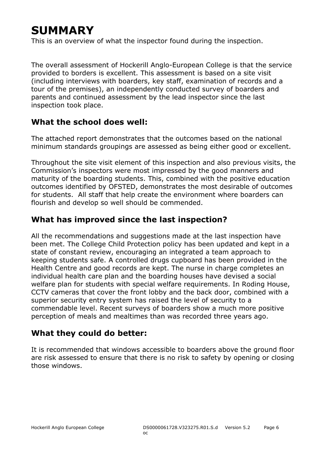# **SUMMARY**

This is an overview of what the inspector found during the inspection.

The overall assessment of Hockerill Anglo-European College is that the service provided to borders is excellent. This assessment is based on a site visit (including interviews with boarders, key staff, examination of records and a tour of the premises), an independently conducted survey of boarders and parents and continued assessment by the lead inspector since the last inspection took place.

#### **What the school does well:**

The attached report demonstrates that the outcomes based on the national minimum standards groupings are assessed as being either good or excellent.

Throughout the site visit element of this inspection and also previous visits, the Commission's inspectors were most impressed by the good manners and maturity of the boarding students. This, combined with the positive education outcomes identified by OFSTED, demonstrates the most desirable of outcomes for students. All staff that help create the environment where boarders can flourish and develop so well should be commended.

### **What has improved since the last inspection?**

All the recommendations and suggestions made at the last inspection have been met. The College Child Protection policy has been updated and kept in a state of constant review, encouraging an integrated a team approach to keeping students safe. A controlled drugs cupboard has been provided in the Health Centre and good records are kept. The nurse in charge completes an individual health care plan and the boarding houses have devised a social welfare plan for students with special welfare requirements. In Roding House, CCTV cameras that cover the front lobby and the back door, combined with a superior security entry system has raised the level of security to a commendable level. Recent surveys of boarders show a much more positive perception of meals and mealtimes than was recorded three years ago.

#### **What they could do better:**

It is recommended that windows accessible to boarders above the ground floor are risk assessed to ensure that there is no risk to safety by opening or closing those windows.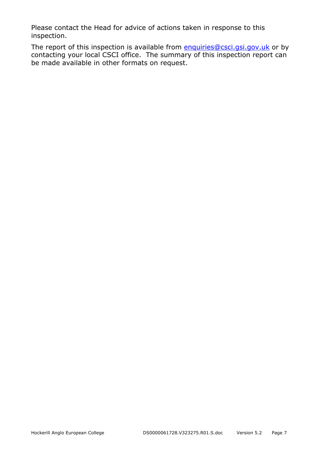Please contact the Head for advice of actions taken in response to this inspection.

The report of this inspection is available from **enquiries@csci.gsi.gov.uk** or by contacting your local CSCI office. The summary of this inspection report can be made available in other formats on request.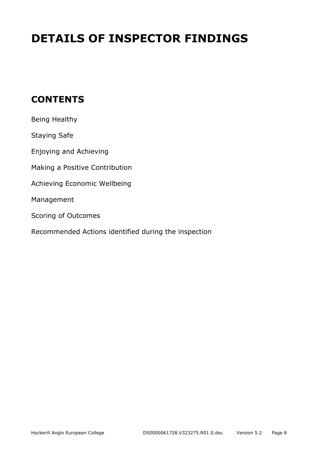# **DETAILS OF INSPECTOR FINDINGS**

## **CONTENTS**

| Being Healthy                                        |
|------------------------------------------------------|
| Staying Safe                                         |
| Enjoying and Achieving                               |
| Making a Positive Contribution                       |
| Achieving Economic Wellbeing                         |
| Management                                           |
| Scoring of Outcomes                                  |
| Recommended Actions identified during the inspection |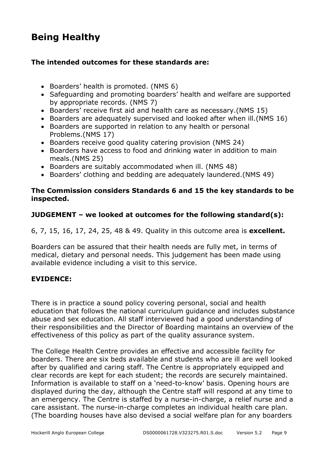## **Being Healthy**

#### **The intended outcomes for these standards are:**

- Boarders' health is promoted. (NMS 6)
- Safeguarding and promoting boarders' health and welfare are supported by appropriate records. (NMS 7)
- Boarders' receive first aid and health care as necessary.(NMS 15)
- Boarders are adequately supervised and looked after when ill.(NMS 16)
- Boarders are supported in relation to any health or personal Problems.(NMS 17)
- Boarders receive good quality catering provision (NMS 24)
- Boarders have access to food and drinking water in addition to main meals.(NMS 25)
- Boarders are suitably accommodated when ill. (NMS 48)
- Boarders' clothing and bedding are adequately laundered.(NMS 49)

#### **The Commission considers Standards 6 and 15 the key standards to be inspected.**

#### **JUDGEMENT – we looked at outcomes for the following standard(s):**

#### 6, 7, 15, 16, 17, 24, 25, 48 & 49. Quality in this outcome area is **excellent.**

Boarders can be assured that their health needs are fully met, in terms of medical, dietary and personal needs. This judgement has been made using available evidence including a visit to this service.

#### **EVIDENCE:**

There is in practice a sound policy covering personal, social and health education that follows the national curriculum guidance and includes substance abuse and sex education. All staff interviewed had a good understanding of their responsibilities and the Director of Boarding maintains an overview of the effectiveness of this policy as part of the quality assurance system.

The College Health Centre provides an effective and accessible facility for boarders. There are six beds available and students who are ill are well looked after by qualified and caring staff. The Centre is appropriately equipped and clear records are kept for each student; the records are securely maintained. Information is available to staff on a 'need-to-know' basis. Opening hours are displayed during the day, although the Centre staff will respond at any time to an emergency. The Centre is staffed by a nurse-in-charge, a relief nurse and a care assistant. The nurse-in-charge completes an individual health care plan. (The boarding houses have also devised a social welfare plan for any boarders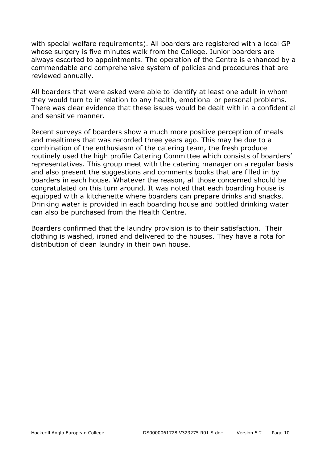with special welfare requirements). All boarders are registered with a local GP whose surgery is five minutes walk from the College. Junior boarders are always escorted to appointments. The operation of the Centre is enhanced by a commendable and comprehensive system of policies and procedures that are reviewed annually.

All boarders that were asked were able to identify at least one adult in whom they would turn to in relation to any health, emotional or personal problems. There was clear evidence that these issues would be dealt with in a confidential and sensitive manner.

Recent surveys of boarders show a much more positive perception of meals and mealtimes that was recorded three years ago. This may be due to a combination of the enthusiasm of the catering team, the fresh produce routinely used the high profile Catering Committee which consists of boarders' representatives. This group meet with the catering manager on a regular basis and also present the suggestions and comments books that are filled in by boarders in each house. Whatever the reason, all those concerned should be congratulated on this turn around. It was noted that each boarding house is equipped with a kitchenette where boarders can prepare drinks and snacks. Drinking water is provided in each boarding house and bottled drinking water can also be purchased from the Health Centre.

Boarders confirmed that the laundry provision is to their satisfaction. Their clothing is washed, ironed and delivered to the houses. They have a rota for distribution of clean laundry in their own house.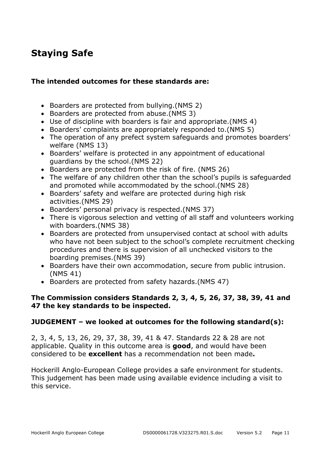## **Staying Safe**

#### **The intended outcomes for these standards are:**

- Boarders are protected from bullying.(NMS 2)
- Boarders are protected from abuse.(NMS 3)
- Use of discipline with boarders is fair and appropriate.(NMS 4)
- Boarders' complaints are appropriately responded to.(NMS 5)
- The operation of any prefect system safeguards and promotes boarders' welfare (NMS 13)
- Boarders' welfare is protected in any appointment of educational guardians by the school.(NMS 22)
- Boarders are protected from the risk of fire. (NMS 26)
- The welfare of any children other than the school's pupils is safeguarded and promoted while accommodated by the school.(NMS 28)
- Boarders' safety and welfare are protected during high risk activities.(NMS 29)
- Boarders' personal privacy is respected.(NMS 37)
- There is vigorous selection and vetting of all staff and volunteers working with boarders.(NMS 38)
- Boarders are protected from unsupervised contact at school with adults who have not been subject to the school's complete recruitment checking procedures and there is supervision of all unchecked visitors to the boarding premises.(NMS 39)
- Boarders have their own accommodation, secure from public intrusion. (NMS 41)
- Boarders are protected from safety hazards.(NMS 47)

#### **The Commission considers Standards 2, 3, 4, 5, 26, 37, 38, 39, 41 and 47 the key standards to be inspected.**

#### **JUDGEMENT – we looked at outcomes for the following standard(s):**

2, 3, 4, 5, 13, 26, 29, 37, 38, 39, 41 & 47. Standards 22 & 28 are not applicable. Quality in this outcome area is **good**, and would have been considered to be **excellent** has a recommendation not been made**.** 

Hockerill Anglo-European College provides a safe environment for students. This judgement has been made using available evidence including a visit to this service.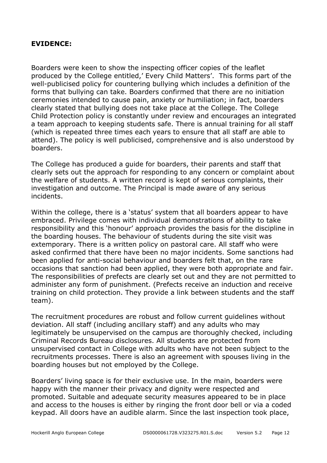#### **EVIDENCE:**

Boarders were keen to show the inspecting officer copies of the leaflet produced by the College entitled,' Every Child Matters'. This forms part of the well-publicised policy for countering bullying which includes a definition of the forms that bullying can take. Boarders confirmed that there are no initiation ceremonies intended to cause pain, anxiety or humiliation; in fact, boarders clearly stated that bullying does not take place at the College. The College Child Protection policy is constantly under review and encourages an integrated a team approach to keeping students safe. There is annual training for all staff (which is repeated three times each years to ensure that all staff are able to attend). The policy is well publicised, comprehensive and is also understood by boarders.

The College has produced a guide for boarders, their parents and staff that clearly sets out the approach for responding to any concern or complaint about the welfare of students. A written record is kept of serious complaints, their investigation and outcome. The Principal is made aware of any serious incidents.

Within the college, there is a 'status' system that all boarders appear to have embraced. Privilege comes with individual demonstrations of ability to take responsibility and this 'honour' approach provides the basis for the discipline in the boarding houses. The behaviour of students during the site visit was extemporary. There is a written policy on pastoral care. All staff who were asked confirmed that there have been no major incidents. Some sanctions had been applied for anti-social behaviour and boarders felt that, on the rare occasions that sanction had been applied, they were both appropriate and fair. The responsibilities of prefects are clearly set out and they are not permitted to administer any form of punishment. (Prefects receive an induction and receive training on child protection. They provide a link between students and the staff team).

The recruitment procedures are robust and follow current guidelines without deviation. All staff (including ancillary staff) and any adults who may legitimately be unsupervised on the campus are thoroughly checked, including Criminal Records Bureau disclosures. All students are protected from unsupervised contact in College with adults who have not been subject to the recruitments processes. There is also an agreement with spouses living in the boarding houses but not employed by the College.

Boarders' living space is for their exclusive use. In the main, boarders were happy with the manner their privacy and dignity were respected and promoted. Suitable and adequate security measures appeared to be in place and access to the houses is either by ringing the front door bell or via a coded keypad. All doors have an audible alarm. Since the last inspection took place,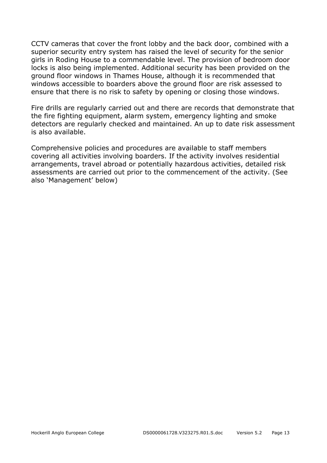CCTV cameras that cover the front lobby and the back door, combined with a superior security entry system has raised the level of security for the senior girls in Roding House to a commendable level. The provision of bedroom door locks is also being implemented. Additional security has been provided on the ground floor windows in Thames House, although it is recommended that windows accessible to boarders above the ground floor are risk assessed to ensure that there is no risk to safety by opening or closing those windows.

Fire drills are regularly carried out and there are records that demonstrate that the fire fighting equipment, alarm system, emergency lighting and smoke detectors are regularly checked and maintained. An up to date risk assessment is also available.

Comprehensive policies and procedures are available to staff members covering all activities involving boarders. If the activity involves residential arrangements, travel abroad or potentially hazardous activities, detailed risk assessments are carried out prior to the commencement of the activity. (See also 'Management' below)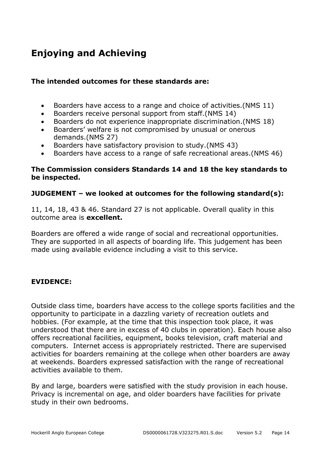# **Enjoying and Achieving**

#### **The intended outcomes for these standards are:**

- Boarders have access to a range and choice of activities.(NMS 11)
- Boarders receive personal support from staff.(NMS 14)
- Boarders do not experience inappropriate discrimination.(NMS 18)
- Boarders' welfare is not compromised by unusual or onerous demands.(NMS 27)
- Boarders have satisfactory provision to study.(NMS 43)
- Boarders have access to a range of safe recreational areas.(NMS 46)

#### **The Commission considers Standards 14 and 18 the key standards to be inspected.**

#### **JUDGEMENT – we looked at outcomes for the following standard(s):**

11, 14, 18, 43 & 46. Standard 27 is not applicable. Overall quality in this outcome area is **excellent.** 

Boarders are offered a wide range of social and recreational opportunities. They are supported in all aspects of boarding life. This judgement has been made using available evidence including a visit to this service.

#### **EVIDENCE:**

Outside class time, boarders have access to the college sports facilities and the opportunity to participate in a dazzling variety of recreation outlets and hobbies. (For example, at the time that this inspection took place, it was understood that there are in excess of 40 clubs in operation). Each house also offers recreational facilities, equipment, books television, craft material and computers. Internet access is appropriately restricted. There are supervised activities for boarders remaining at the college when other boarders are away at weekends. Boarders expressed satisfaction with the range of recreational activities available to them.

By and large, boarders were satisfied with the study provision in each house. Privacy is incremental on age, and older boarders have facilities for private study in their own bedrooms.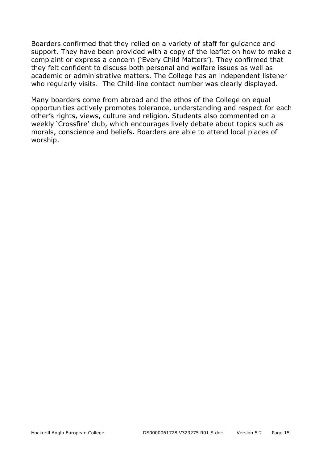Boarders confirmed that they relied on a variety of staff for guidance and support. They have been provided with a copy of the leaflet on how to make a complaint or express a concern ('Every Child Matters'). They confirmed that they felt confident to discuss both personal and welfare issues as well as academic or administrative matters. The College has an independent listener who regularly visits. The Child-line contact number was clearly displayed.

Many boarders come from abroad and the ethos of the College on equal opportunities actively promotes tolerance, understanding and respect for each other's rights, views, culture and religion. Students also commented on a weekly 'Crossfire' club, which encourages lively debate about topics such as morals, conscience and beliefs. Boarders are able to attend local places of worship.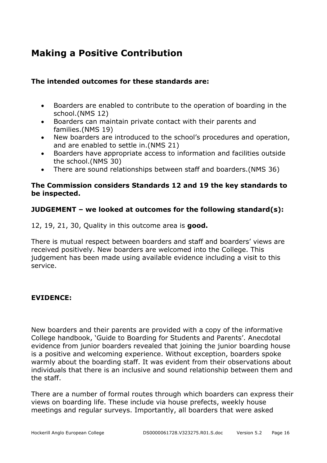## **Making a Positive Contribution**

#### **The intended outcomes for these standards are:**

- Boarders are enabled to contribute to the operation of boarding in the school.(NMS 12)
- Boarders can maintain private contact with their parents and families.(NMS 19)
- New boarders are introduced to the school's procedures and operation, and are enabled to settle in.(NMS 21)
- Boarders have appropriate access to information and facilities outside the school.(NMS 30)
- There are sound relationships between staff and boarders.(NMS 36)

#### **The Commission considers Standards 12 and 19 the key standards to be inspected.**

#### **JUDGEMENT – we looked at outcomes for the following standard(s):**

12, 19, 21, 30, Quality in this outcome area is **good.** 

There is mutual respect between boarders and staff and boarders' views are received positively. New boarders are welcomed into the College. This judgement has been made using available evidence including a visit to this service.

#### **EVIDENCE:**

New boarders and their parents are provided with a copy of the informative College handbook, 'Guide to Boarding for Students and Parents'. Anecdotal evidence from junior boarders revealed that joining the junior boarding house is a positive and welcoming experience. Without exception, boarders spoke warmly about the boarding staff. It was evident from their observations about individuals that there is an inclusive and sound relationship between them and the staff.

There are a number of formal routes through which boarders can express their views on boarding life. These include via house prefects, weekly house meetings and regular surveys. Importantly, all boarders that were asked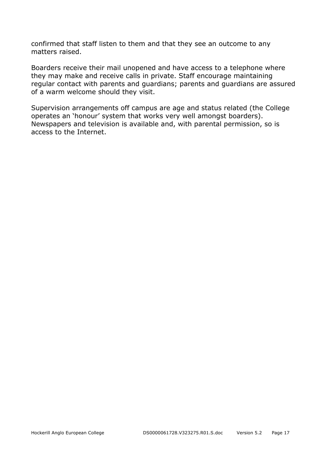confirmed that staff listen to them and that they see an outcome to any matters raised.

Boarders receive their mail unopened and have access to a telephone where they may make and receive calls in private. Staff encourage maintaining regular contact with parents and guardians; parents and guardians are assured of a warm welcome should they visit.

Supervision arrangements off campus are age and status related (the College operates an 'honour' system that works very well amongst boarders). Newspapers and television is available and, with parental permission, so is access to the Internet.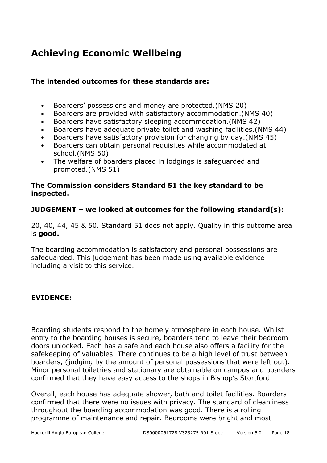# **Achieving Economic Wellbeing**

#### **The intended outcomes for these standards are:**

- Boarders' possessions and money are protected.(NMS 20)
- Boarders are provided with satisfactory accommodation.(NMS 40)
- Boarders have satisfactory sleeping accommodation.(NMS 42)
- Boarders have adequate private toilet and washing facilities.(NMS 44)
- Boarders have satisfactory provision for changing by day.(NMS 45)
- Boarders can obtain personal requisites while accommodated at school.(NMS 50)
- The welfare of boarders placed in lodgings is safeguarded and promoted.(NMS 51)

#### **The Commission considers Standard 51 the key standard to be inspected.**

#### **JUDGEMENT – we looked at outcomes for the following standard(s):**

20, 40, 44, 45 & 50. Standard 51 does not apply. Quality in this outcome area is **good.** 

The boarding accommodation is satisfactory and personal possessions are safeguarded. This judgement has been made using available evidence including a visit to this service.

#### **EVIDENCE:**

Boarding students respond to the homely atmosphere in each house. Whilst entry to the boarding houses is secure, boarders tend to leave their bedroom doors unlocked. Each has a safe and each house also offers a facility for the safekeeping of valuables. There continues to be a high level of trust between boarders, (judging by the amount of personal possessions that were left out). Minor personal toiletries and stationary are obtainable on campus and boarders confirmed that they have easy access to the shops in Bishop's Stortford.

Overall, each house has adequate shower, bath and toilet facilities. Boarders confirmed that there were no issues with privacy. The standard of cleanliness throughout the boarding accommodation was good. There is a rolling programme of maintenance and repair. Bedrooms were bright and most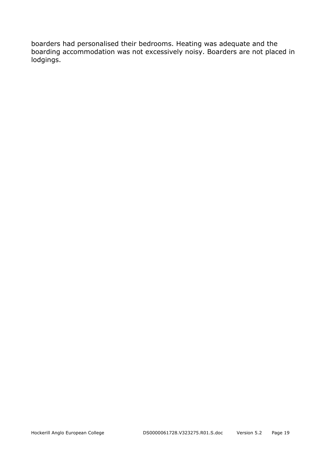boarders had personalised their bedrooms. Heating was adequate and the boarding accommodation was not excessively noisy. Boarders are not placed in lodgings.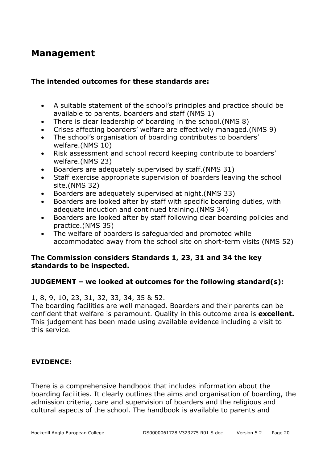## **Management**

#### **The intended outcomes for these standards are:**

- A suitable statement of the school's principles and practice should be available to parents, boarders and staff (NMS 1)
- There is clear leadership of boarding in the school.(NMS 8)
- Crises affecting boarders' welfare are effectively managed.(NMS 9)
- The school's organisation of boarding contributes to boarders' welfare.(NMS 10)
- Risk assessment and school record keeping contribute to boarders' welfare.(NMS 23)
- Boarders are adequately supervised by staff.(NMS 31)
- Staff exercise appropriate supervision of boarders leaving the school site.(NMS 32)
- Boarders are adequately supervised at night.(NMS 33)
- Boarders are looked after by staff with specific boarding duties, with adequate induction and continued training.(NMS 34)
- Boarders are looked after by staff following clear boarding policies and practice.(NMS 35)
- The welfare of boarders is safeguarded and promoted while accommodated away from the school site on short-term visits (NMS 52)

#### **The Commission considers Standards 1, 23, 31 and 34 the key standards to be inspected.**

#### **JUDGEMENT – we looked at outcomes for the following standard(s):**

#### 1, 8, 9, 10, 23, 31, 32, 33, 34, 35 & 52.

The boarding facilities are well managed. Boarders and their parents can be confident that welfare is paramount. Quality in this outcome area is **excellent.**  This judgement has been made using available evidence including a visit to this service.

#### **EVIDENCE:**

There is a comprehensive handbook that includes information about the boarding facilities. It clearly outlines the aims and organisation of boarding, the admission criteria, care and supervision of boarders and the religious and cultural aspects of the school. The handbook is available to parents and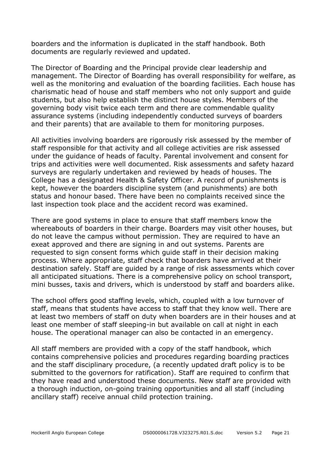boarders and the information is duplicated in the staff handbook. Both documents are regularly reviewed and updated.

The Director of Boarding and the Principal provide clear leadership and management. The Director of Boarding has overall responsibility for welfare, as well as the monitoring and evaluation of the boarding facilities. Each house has charismatic head of house and staff members who not only support and guide students, but also help establish the distinct house styles. Members of the governing body visit twice each term and there are commendable quality assurance systems (including independently conducted surveys of boarders and their parents) that are available to them for monitoring purposes.

All activities involving boarders are rigorously risk assessed by the member of staff responsible for that activity and all college activities are risk assessed under the guidance of heads of faculty. Parental involvement and consent for trips and activities were well documented. Risk assessments and safety hazard surveys are regularly undertaken and reviewed by heads of houses. The College has a designated Health & Safety Officer. A record of punishments is kept, however the boarders discipline system (and punishments) are both status and honour based. There have been no complaints received since the last inspection took place and the accident record was examined.

There are good systems in place to ensure that staff members know the whereabouts of boarders in their charge. Boarders may visit other houses, but do not leave the campus without permission. They are required to have an exeat approved and there are signing in and out systems. Parents are requested to sign consent forms which guide staff in their decision making process. Where appropriate, staff check that boarders have arrived at their destination safely. Staff are guided by a range of risk assessments which cover all anticipated situations. There is a comprehensive policy on school transport, mini busses, taxis and drivers, which is understood by staff and boarders alike.

The school offers good staffing levels, which, coupled with a low turnover of staff, means that students have access to staff that they know well. There are at least two members of staff on duty when boarders are in their houses and at least one member of staff sleeping-in but available on call at night in each house. The operational manager can also be contacted in an emergency.

All staff members are provided with a copy of the staff handbook, which contains comprehensive policies and procedures regarding boarding practices and the staff disciplinary procedure, (a recently updated draft policy is to be submitted to the governors for ratification). Staff are required to confirm that they have read and understood these documents. New staff are provided with a thorough induction, on-going training opportunities and all staff (including ancillary staff) receive annual child protection training.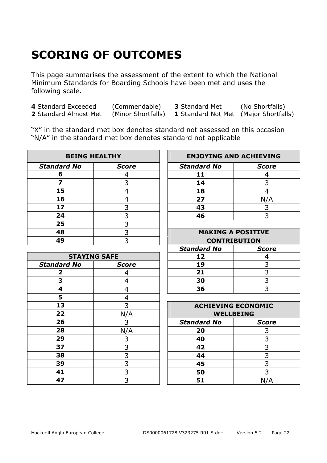# **SCORING OF OUTCOMES**

This page summarises the assessment of the extent to which the National Minimum Standards for Boarding Schools have been met and uses the following scale.

 Standard Exceeded (Commendable) **3** Standard Met (No Shortfalls) Standard Almost Met (Minor Shortfalls) **1** Standard Not Met (Major Shortfalls)

"X" in the standard met box denotes standard not assessed on this occasion "N/A" in the standard met box denotes standard not applicable

| <b>BEING HEALTHY</b> |              | <b>ENJOYING AND ACHIEVING</b> |              |
|----------------------|--------------|-------------------------------|--------------|
| <b>Standard No</b>   | <b>Score</b> | <b>Standard No</b>            | <b>Score</b> |
|                      |              | 11                            |              |
|                      |              | 14                            |              |
| 15                   |              | 18                            |              |
| 16                   |              | 27                            |              |
| 17                   |              | 43                            |              |
| 24                   |              | 46                            |              |
| 25                   |              |                               |              |
| 48                   |              | <b>MAKING A POSITIVE</b>      |              |
| 49                   |              | <b>CONTRIBUTION</b>           |              |

| <b>STAYING SAFE</b> |              | 12                                 | 4   |
|---------------------|--------------|------------------------------------|-----|
| <b>Standard No</b>  | <b>Score</b> | 19                                 | 3   |
|                     | 4            | 21                                 | 3   |
| 3                   | 4            | 30                                 | 3   |
| 4                   | 4            | 36                                 | 3   |
| 5                   | 4            |                                    |     |
| 13                  | 3            | <b>ACHIEVING ECONOMIC</b>          |     |
| 22                  | N/A          | <b>WELLBEING</b>                   |     |
| 26                  | 3            | <b>Standard No</b><br><b>Score</b> |     |
| 28                  | N/A          | 20                                 | 3   |
| 29                  | 3            | 40                                 | 3   |
| 37                  | 3            | 42                                 | 3   |
| 38                  | 3            | 44                                 | 3   |
| 39                  | 3            | 45                                 | 3   |
| 41                  | 3            | 50                                 | 3   |
| 47                  | 3            | 51                                 | N/A |

| <b>BEING HEALTHY</b> |              | <b>ENJOYING AND ACHIEVING</b> |              |
|----------------------|--------------|-------------------------------|--------------|
| dard No              | <b>Score</b> | <b>Standard No</b>            | <b>Score</b> |
| -6                   |              |                               |              |
|                      |              | 14                            |              |
| 15                   |              | 18                            |              |
| 16                   |              | 27                            | N/A          |
| 17                   |              | 43                            |              |
| 24                   |              | 46                            |              |

|                     |              |                    | <b>MAKING A POSITIVE</b> |  |  |
|---------------------|--------------|--------------------|--------------------------|--|--|
|                     |              |                    | <b>CONTRIBUTION</b>      |  |  |
|                     |              | <b>Standard No</b> | <b>Score</b>             |  |  |
| <b>STAYING SAFE</b> |              | 12                 |                          |  |  |
| l No                | <b>Score</b> | 19                 |                          |  |  |
|                     |              | 21                 |                          |  |  |
|                     |              | 30                 |                          |  |  |
|                     |              | 36                 |                          |  |  |
|                     |              |                    |                          |  |  |

| 13 |     | <b>ACHIEVING ECONOMIC</b> |              |  |
|----|-----|---------------------------|--------------|--|
| 22 | N/A | <b>WELLBEING</b>          |              |  |
| 26 |     | <b>Standard No</b>        | <b>Score</b> |  |
| 28 | N/A | 20                        |              |  |
| 29 |     | 40                        |              |  |
| 37 |     | 42                        |              |  |
| 38 |     | 44                        |              |  |
| 39 |     | 45                        |              |  |
| 41 |     | 50                        |              |  |
| 47 |     | 51                        |              |  |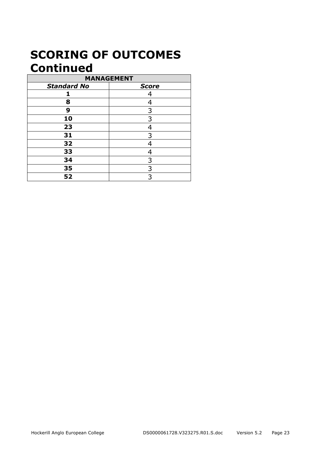# **SCORING OF OUTCOMES Continued**

| <b>MANAGEMENT</b>  |              |  |
|--------------------|--------------|--|
| <b>Standard No</b> | <b>Score</b> |  |
| 1                  | 4            |  |
| 8                  | ⊿            |  |
| 9                  | 3            |  |
| 10                 | 3            |  |
| 23                 |              |  |
| 31                 | 3            |  |
| 32                 | 4            |  |
| 33                 |              |  |
| 34                 | 3            |  |
| 35                 | 3            |  |
| 52                 | 3            |  |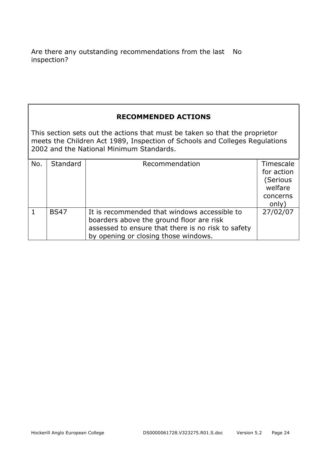Are there any outstanding recommendations from the last No inspection?

#### **RECOMMENDED ACTIONS**

This section sets out the actions that must be taken so that the proprietor meets the Children Act 1989, Inspection of Schools and Colleges Regulations 2002 and the National Minimum Standards.

| No. | <b>Standard</b> | Recommendation                                                                                                                                                                         | Timescale<br>for action<br>(Serious<br>welfare<br>concerns<br>only) |
|-----|-----------------|----------------------------------------------------------------------------------------------------------------------------------------------------------------------------------------|---------------------------------------------------------------------|
|     | <b>BS47</b>     | It is recommended that windows accessible to<br>boarders above the ground floor are risk<br>assessed to ensure that there is no risk to safety<br>by opening or closing those windows. | 27/02/07                                                            |